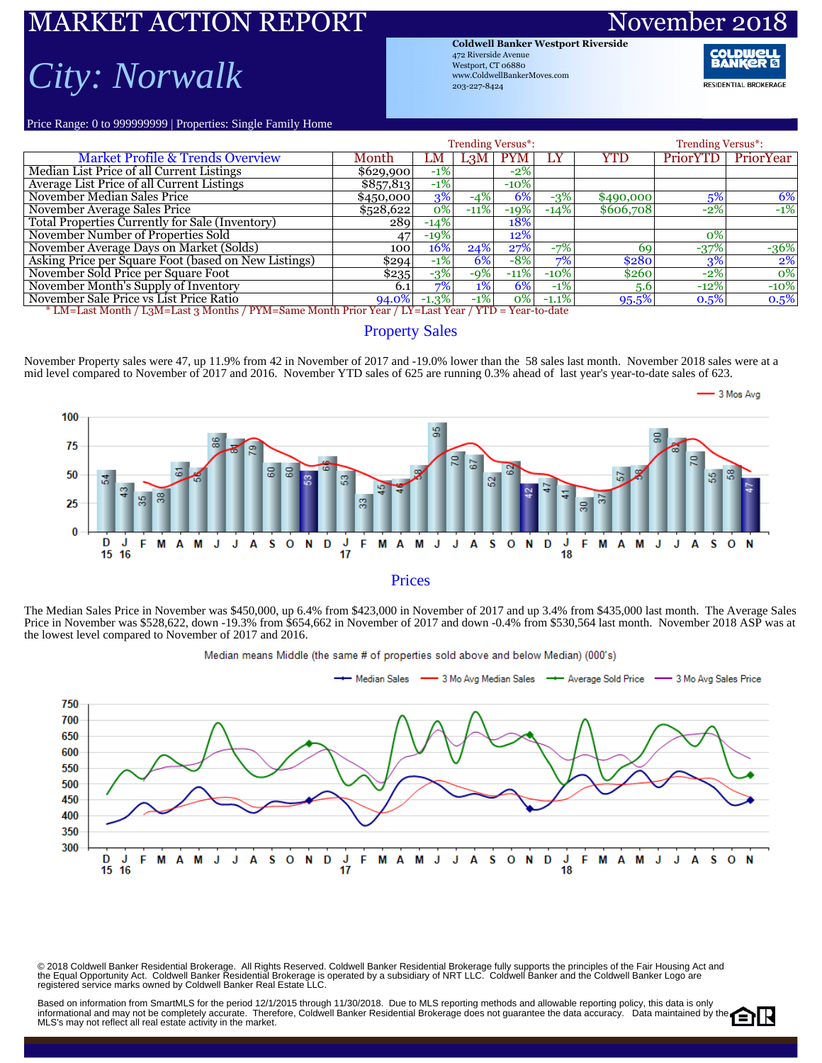# ARKET ACTION REPORT Novem

### *City: Norwalk*

**Coldwell Banker Westport Riverside** 472 Riverside Avenue Westport, CT 06880 www.ColdwellBankerMoves.com 203-227-8424

**RESIDENTIAL BROKERAGE** 

Price Range: 0 to 999999999 | Properties: Single Family Home

|                                                                                                     |           | <b>Trending Versus*:</b> |                  | <b>Trending Versus*:</b> |         |           |          |           |  |  |  |  |
|-----------------------------------------------------------------------------------------------------|-----------|--------------------------|------------------|--------------------------|---------|-----------|----------|-----------|--|--|--|--|
| <b>Market Profile &amp; Trends Overview</b>                                                         | Month     | LM                       | L <sub>3</sub> M | <b>PYM</b>               | LY      | YTD       | PriorYTD | PriorYear |  |  |  |  |
| Median List Price of all Current Listings                                                           | \$629,900 | $-1\%$                   |                  | $-2%$                    |         |           |          |           |  |  |  |  |
| Average List Price of all Current Listings                                                          | \$857,813 | $-1\%$                   |                  | $-10\%$                  |         |           |          |           |  |  |  |  |
| November Median Sales Price                                                                         | \$450,000 | 3%                       | $-4%$            | 6%                       | $-3%$   | \$490,000 | 5%       | 6%        |  |  |  |  |
| November Average Sales Price                                                                        | \$528,622 | $0\%$                    | $-11%$           | $-19%$                   | $-14%$  | \$606,708 | $-2%$    | $-1%$     |  |  |  |  |
| Total Properties Currently for Sale (Inventory)                                                     | 289       | $-14%$                   |                  | 18%                      |         |           |          |           |  |  |  |  |
| November Number of Properties Sold                                                                  | 47        | $-19%$                   |                  | 12%                      |         |           | 0%       |           |  |  |  |  |
| November Average Days on Market (Solds)                                                             | 100       | 16%                      | 24%              | 27%                      | $-7%$   | 69        | $-37%$   | $-36%$    |  |  |  |  |
| Asking Price per Square Foot (based on New Listings)                                                | \$294     | $-1\%$                   | 6%               | $-8%$                    | $7\%$   | \$280     | 3%       | $2\%$     |  |  |  |  |
| November Sold Price per Square Foot                                                                 | \$235     | $-3%$                    | $-9%$            | $-11%$                   | $-10\%$ | \$260     | $-2\%$   | 0%        |  |  |  |  |
| November Month's Supply of Inventory                                                                | 6.1       | 7%                       | $1\%$            | 6%                       | $-1\%$  | 5.6       | $-12%$   | $-10%$    |  |  |  |  |
| November Sale Price vs List Price Ratio                                                             | 94.0%     | $-1.3\%$                 | $-1\%$           | $ 0\% $                  | $-1.1%$ | 95.5%     | 0.5%     | 0.5%      |  |  |  |  |
| * LM=Last Month / L3M=Last 3 Months / PYM=Same Month Prior Year / LY=Last Year / YTD = Year-to-date |           |                          |                  |                          |         |           |          |           |  |  |  |  |

#### Property Sales

November Property sales were 47, up 11.9% from 42 in November of 2017 and -19.0% lower than the 58 sales last month. November 2018 sales were at a mid level compared to November of 2017 and 2016. November YTD sales of 625 are running 0.3% ahead of last year's year-to-date sales of 623.



The Median Sales Price in November was \$450,000, up 6.4% from \$423,000 in November of 2017 and up 3.4% from \$435,000 last month. The Average Sales Price in November was \$528,622, down -19.3% from \$654,662 in November of 2017 and down -0.4% from \$530,564 last month. November 2018 ASP was at the lowest level compared to November of 2017 and 2016.



Median means Middle (the same # of properties sold above and below Median) (000's)

© 2018 Coldwell Banker Residential Brokerage. All Rights Reserved. Coldwell Banker Residential Brokerage fully supports the principles of the Fair Housing Act and<br>the Equal Opportunity Act. Coldwell Banker Realential Bro

Based on information from SmartMLS for the period 12/1/2015 through 11/30/2018. Due to MLS reporting methods and allowable reporting policy, this data is only informational and may not be completely accurate. Therefore, Coldwell Banker Residential Brokerage does not guarantee the data accuracy. Data maintained by the MLS's may not reflect all real estate activity in the market.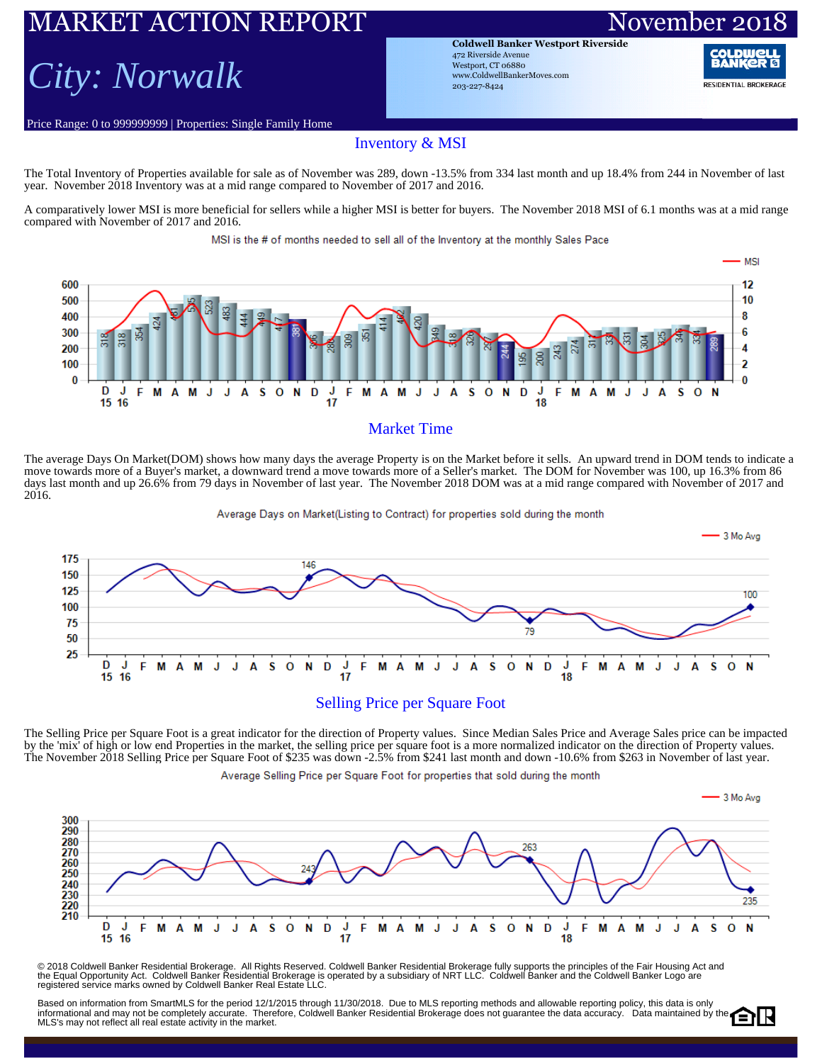### RKET ACTION REPORT November

### *City: Norwalk*

Price Range: 0 to 999999999 | Properties: Single Family Home

**Coldwell Banker Westport Riverside** 472 Riverside Avenue Westport, CT 06880 www.ColdwellBankerMoves.com 203-227-8424

**RESIDENTIAL BROKERAGE** 

#### Inventory & MSI

The Total Inventory of Properties available for sale as of November was 289, down -13.5% from 334 last month and up 18.4% from 244 in November of last year. November 2018 Inventory was at a mid range compared to November of 2017 and 2016.

A comparatively lower MSI is more beneficial for sellers while a higher MSI is better for buyers. The November 2018 MSI of 6.1 months was at a mid range compared with November of 2017 and 2016.

MSI is the # of months needed to sell all of the Inventory at the monthly Sales Pace



#### Market Time

The average Days On Market(DOM) shows how many days the average Property is on the Market before it sells. An upward trend in DOM tends to indicate a move towards more of a Buyer's market, a downward trend a move towards more of a Seller's market. The DOM for November was 100, up 16.3% from 86 days last month and up 26.6% from 79 days in November of last year. The November 2018 DOM was at a mid range compared with November of 2017 and 2016.

Average Days on Market(Listing to Contract) for properties sold during the month



The Selling Price per Square Foot is a great indicator for the direction of Property values. Since Median Sales Price and Average Sales price can be impacted by the 'mix' of high or low end Properties in the market, the selling price per square foot is a more normalized indicator on the direction of Property values. The November 2018 Selling Price per Square Foot of \$235 was down -2.5% from \$241 last month and down -10.6% from \$263 in November of last year.

Average Selling Price per Square Foot for properties that sold during the month



© 2018 Coldwell Banker Residential Brokerage. All Rights Reserved. Coldwell Banker Residential Brokerage fully supports the principles of the Fair Housing Act and<br>the Equal Opportunity Act. Coldwell Banker Realential Bro

Based on information from SmartMLS for the period 12/1/2015 through 11/30/2018. Due to MLS reporting methods and allowable reporting policy, this data is only Ediscul of information formations of the period for the residential Erection and the formational and may not be completely accurate. Therefore, Coldwell Banker Residential Brokerage does not guarantee the data accuracy. Da MLS's may not reflect all real estate activity in the market.

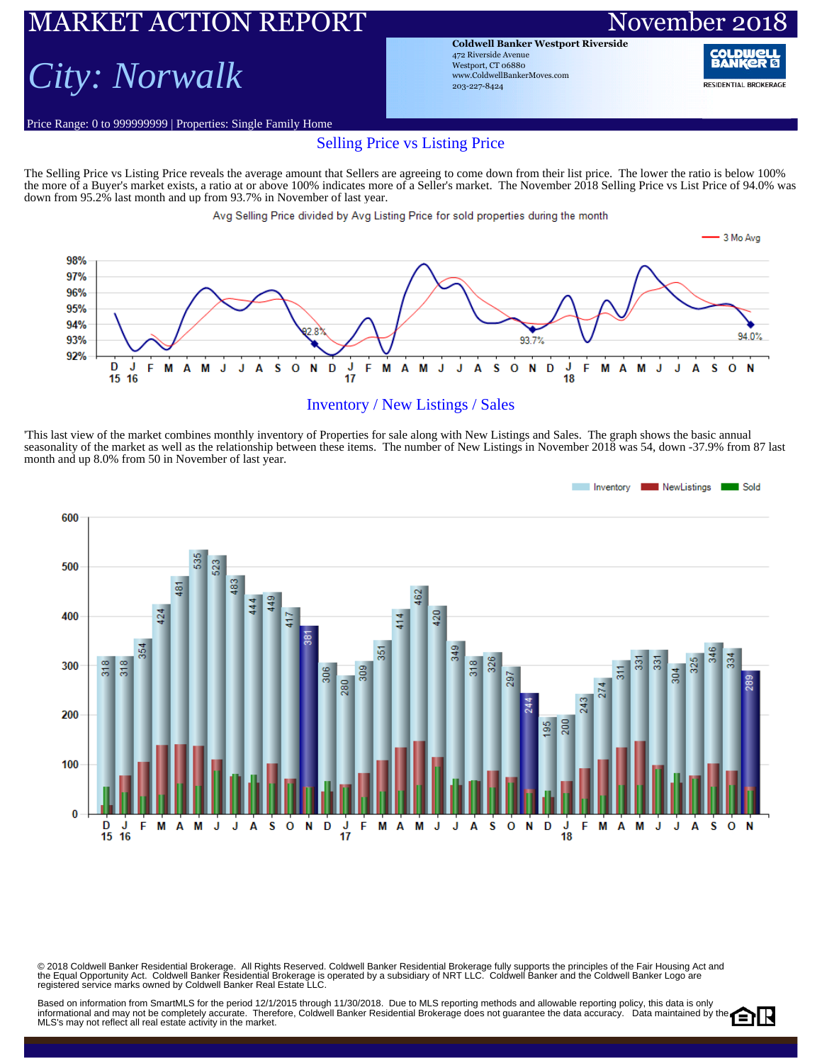## ARKET ACTION REPORT November 20

### *City: Norwalk*

Price Range: 0 to 999999999 | Properties: Single Family Home

**Coldwell Banker Westport Riverside** 472 Riverside Avenue Westport, CT 06880 www.ColdwellBankerMoves.com 203-227-8424

RAN **RESIDENTIAL BROKERAGE** 

#### Selling Price vs Listing Price

The Selling Price vs Listing Price reveals the average amount that Sellers are agreeing to come down from their list price. The lower the ratio is below 100% the more of a Buyer's market exists, a ratio at or above 100% indicates more of a Seller's market. The November 2018 Selling Price vs List Price of 94.0% was down from 95.2% last month and up from 93.7% in November of last year.

Avg Selling Price divided by Avg Listing Price for sold properties during the month



#### Inventory / New Listings / Sales

'This last view of the market combines monthly inventory of Properties for sale along with New Listings and Sales. The graph shows the basic annual seasonality of the market as well as the relationship between these items. The number of New Listings in November 2018 was 54, down -37.9% from 87 last month and up 8.0% from 50 in November of last year.



© 2018 Coldwell Banker Residential Brokerage. All Rights Reserved. Coldwell Banker Residential Brokerage fully supports the principles of the Fair Housing Act and<br>the Equal Opportunity Act. Coldwell Banker Realential Bro

Based on information from SmartMLS for the period 12/1/2015 through 11/30/2018. Due to MLS reporting methods and allowable reporting policy, this data is only Dased on information from Unitativity for the period 12 (1201) with the set of the Coldwell Banker Residential Brokerage does not guarantee the data accuracy. Data maintained by the MLS's may not reflect all real estate activity in the market.